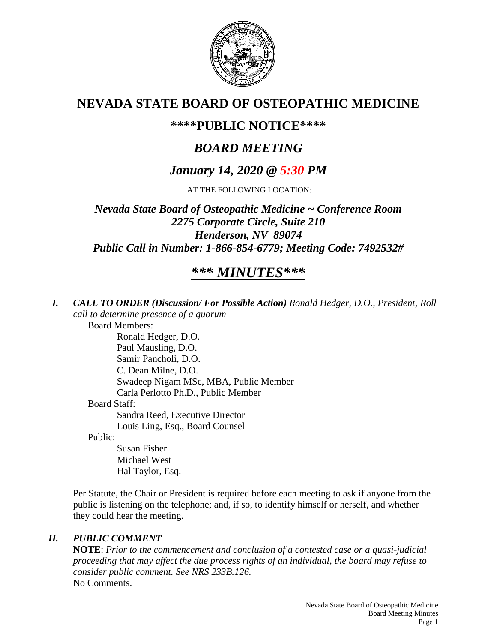

# **NEVADA STATE BOARD OF OSTEOPATHIC MEDICINE**

# **\*\*\*\*PUBLIC NOTICE\*\*\*\***

# *BOARD MEETING*

# *January 14, 2020 @ 5:30 PM*

AT THE FOLLOWING LOCATION:

*Nevada State Board of Osteopathic Medicine ~ Conference Room 2275 Corporate Circle, Suite 210 Henderson, NV 89074 Public Call in Number: 1-866-854-6779; Meeting Code: 7492532#*

# *\*\*\* MINUTES\*\*\**

*I. CALL TO ORDER (Discussion/ For Possible Action) Ronald Hedger, D.O., President, Roll call to determine presence of a quorum*

Board Members:

Ronald Hedger, D.O. Paul Mausling, D.O. Samir Pancholi, D.O. C. Dean Milne, D.O. Swadeep Nigam MSc, MBA, Public Member Carla Perlotto Ph.D., Public Member Board Staff: Sandra Reed, Executive Director Louis Ling, Esq., Board Counsel

Public:

Susan Fisher Michael West Hal Taylor, Esq.

Per Statute, the Chair or President is required before each meeting to ask if anyone from the public is listening on the telephone; and, if so, to identify himself or herself, and whether they could hear the meeting.

### *II. PUBLIC COMMENT*

**NOTE**: *Prior to the commencement and conclusion of a contested case or a quasi-judicial proceeding that may affect the due process rights of an individual, the board may refuse to consider public comment. See NRS 233B.126.* No Comments.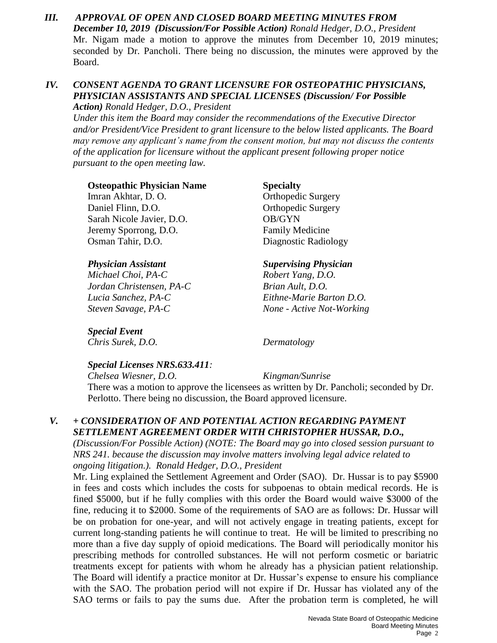*III. APPROVAL OF OPEN AND CLOSED BOARD MEETING MINUTES FROM December 10, 2019 (Discussion/For Possible Action) Ronald Hedger, D.O., President* Mr. Nigam made a motion to approve the minutes from December 10, 2019 minutes; seconded by Dr. Pancholi. There being no discussion, the minutes were approved by the Board.

## *IV. CONSENT AGENDA TO GRANT LICENSURE FOR OSTEOPATHIC PHYSICIANS, PHYSICIAN ASSISTANTS AND SPECIAL LICENSES (Discussion/ For Possible*

*Action) Ronald Hedger, D.O., President*

*Under this item the Board may consider the recommendations of the Executive Director and/or President/Vice President to grant licensure to the below listed applicants. The Board may remove any applicant's name from the consent motion, but may not discuss the contents of the application for licensure without the applicant present following proper notice pursuant to the open meeting law.*

### **Osteopathic Physician Name Specialty**

Imran Akhtar, D. O. **Orthopedic Surgery** Daniel Flinn, D.O. **Orthopedic Surgery** Sarah Nicole Javier, D.O. **OB/GYN** Jeremy Sporrong, D.O. Family Medicine Osman Tahir, D.O. Diagnostic Radiology

*Michael Choi, PA-C Robert Yang, D.O. Jordan Christensen, PA-C Brian Ault, D.O.*

*Special Event*

### *Physician Assistant Supervising Physician*

*Lucia Sanchez, PA-C Eithne-Marie Barton D.O. Steven Savage, PA-C None - Active Not-Working*

# *Special Licenses NRS.633.411:*

*Chris Surek, D.O. Dermatology*

### *Chelsea Wiesner, D.O. Kingman/Sunrise* There was a motion to approve the licensees as written by Dr. Pancholi; seconded by Dr. Perlotto. There being no discussion, the Board approved licensure.

### *V. + CONSIDERATION OF AND POTENTIAL ACTION REGARDING PAYMENT SETTLEMENT AGREEMENT ORDER WITH CHRISTOPHER HUSSAR, D.O.,*

*(Discussion/For Possible Action) (NOTE: The Board may go into closed session pursuant to NRS 241. because the discussion may involve matters involving legal advice related to ongoing litigation.). Ronald Hedger, D.O., President*

Mr. Ling explained the Settlement Agreement and Order (SAO). Dr. Hussar is to pay \$5900 in fees and costs which includes the costs for subpoenas to obtain medical records. He is fined \$5000, but if he fully complies with this order the Board would waive \$3000 of the fine, reducing it to \$2000. Some of the requirements of SAO are as follows: Dr. Hussar will be on probation for one-year, and will not actively engage in treating patients, except for current long-standing patients he will continue to treat. He will be limited to prescribing no more than a five day supply of opioid medications. The Board will periodically monitor his prescribing methods for controlled substances. He will not perform cosmetic or bariatric treatments except for patients with whom he already has a physician patient relationship. The Board will identify a practice monitor at Dr. Hussar's expense to ensure his compliance with the SAO. The probation period will not expire if Dr. Hussar has violated any of the SAO terms or fails to pay the sums due. After the probation term is completed, he will